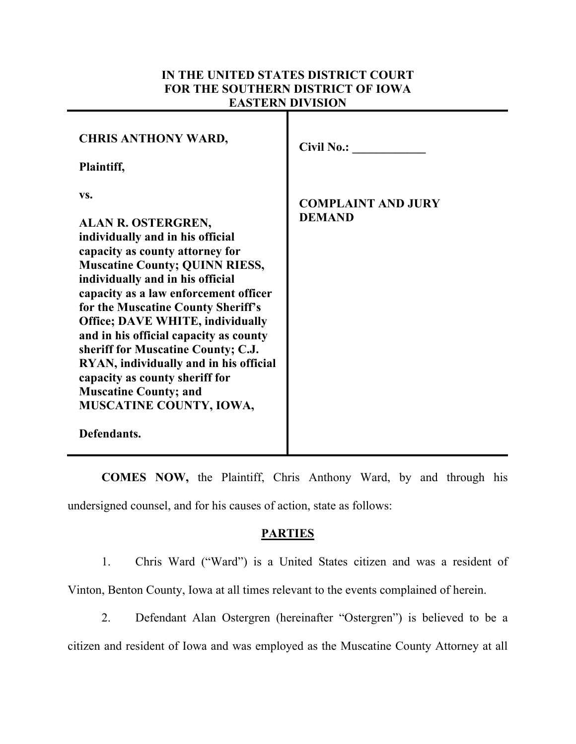# **IN THE UNITED STATES DISTRICT COURT FOR THE SOUTHERN DISTRICT OF IOWA EASTERN DIVISION**

| <b>CHRIS ANTHONY WARD,</b><br>Plaintiff,                                                                                                                                                                                                                                                                                                                                                                                                                                                                                                             | <b>Civil No.:</b>                          |
|------------------------------------------------------------------------------------------------------------------------------------------------------------------------------------------------------------------------------------------------------------------------------------------------------------------------------------------------------------------------------------------------------------------------------------------------------------------------------------------------------------------------------------------------------|--------------------------------------------|
| VS.<br>ALAN R. OSTERGREN,<br>individually and in his official<br>capacity as county attorney for<br><b>Muscatine County; QUINN RIESS,</b><br>individually and in his official<br>capacity as a law enforcement officer<br>for the Muscatine County Sheriff's<br><b>Office; DAVE WHITE, individually</b><br>and in his official capacity as county<br>sheriff for Muscatine County; C.J.<br>RYAN, individually and in his official<br>capacity as county sheriff for<br><b>Muscatine County; and</b><br><b>MUSCATINE COUNTY, IOWA,</b><br>Defendants. | <b>COMPLAINT AND JURY</b><br><b>DEMAND</b> |

**COMES NOW,** the Plaintiff, Chris Anthony Ward, by and through his undersigned counsel, and for his causes of action, state as follows:

#### **PARTIES**

- 1. Chris Ward ("Ward") is a United States citizen and was a resident of Vinton, Benton County, Iowa at all times relevant to the events complained of herein.
- 2. Defendant Alan Ostergren (hereinafter "Ostergren") is believed to be a citizen and resident of Iowa and was employed as the Muscatine County Attorney at all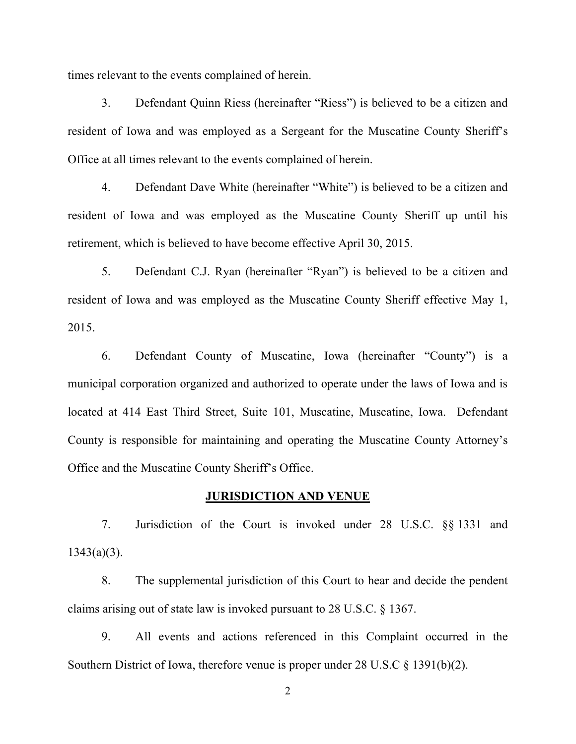times relevant to the events complained of herein.

3. Defendant Quinn Riess (hereinafter "Riess") is believed to be a citizen and resident of Iowa and was employed as a Sergeant for the Muscatine County Sheriff's Office at all times relevant to the events complained of herein.

4. Defendant Dave White (hereinafter "White") is believed to be a citizen and resident of Iowa and was employed as the Muscatine County Sheriff up until his retirement, which is believed to have become effective April 30, 2015.

5. Defendant C.J. Ryan (hereinafter "Ryan") is believed to be a citizen and resident of Iowa and was employed as the Muscatine County Sheriff effective May 1, 2015.

6. Defendant County of Muscatine, Iowa (hereinafter "County") is a municipal corporation organized and authorized to operate under the laws of Iowa and is located at 414 East Third Street, Suite 101, Muscatine, Muscatine, Iowa. Defendant County is responsible for maintaining and operating the Muscatine County Attorney's Office and the Muscatine County Sheriff's Office.

#### **JURISDICTION AND VENUE**

7. Jurisdiction of the Court is invoked under 28 U.S.C. §§ 1331 and  $1343(a)(3)$ .

8. The supplemental jurisdiction of this Court to hear and decide the pendent claims arising out of state law is invoked pursuant to 28 U.S.C. § 1367.

9. All events and actions referenced in this Complaint occurred in the Southern District of Iowa, therefore venue is proper under 28 U.S.C § 1391(b)(2).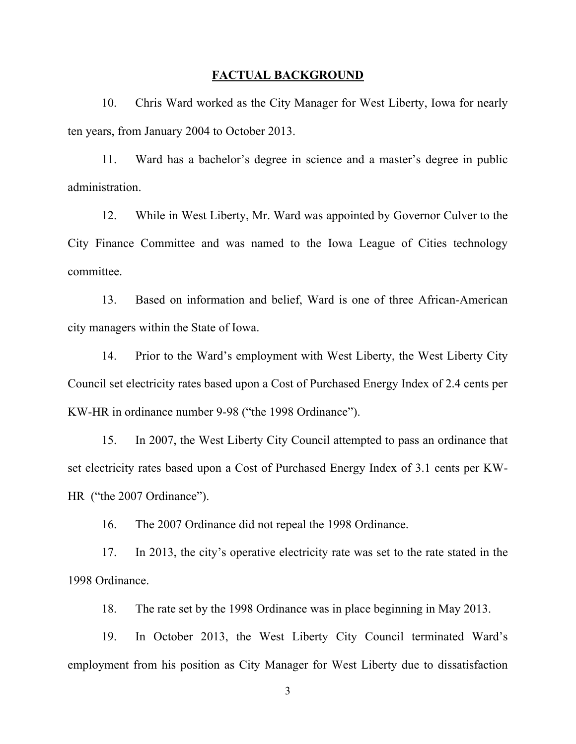#### **FACTUAL BACKGROUND**

10. Chris Ward worked as the City Manager for West Liberty, Iowa for nearly ten years, from January 2004 to October 2013.

11. Ward has a bachelor's degree in science and a master's degree in public administration.

12. While in West Liberty, Mr. Ward was appointed by Governor Culver to the City Finance Committee and was named to the Iowa League of Cities technology committee.

13. Based on information and belief, Ward is one of three African-American city managers within the State of Iowa.

14. Prior to the Ward's employment with West Liberty, the West Liberty City Council set electricity rates based upon a Cost of Purchased Energy Index of 2.4 cents per KW-HR in ordinance number 9-98 ("the 1998 Ordinance").

15. In 2007, the West Liberty City Council attempted to pass an ordinance that set electricity rates based upon a Cost of Purchased Energy Index of 3.1 cents per KW-HR ("the 2007 Ordinance").

16. The 2007 Ordinance did not repeal the 1998 Ordinance.

17. In 2013, the city's operative electricity rate was set to the rate stated in the 1998 Ordinance.

18. The rate set by the 1998 Ordinance was in place beginning in May 2013.

19. In October 2013, the West Liberty City Council terminated Ward's employment from his position as City Manager for West Liberty due to dissatisfaction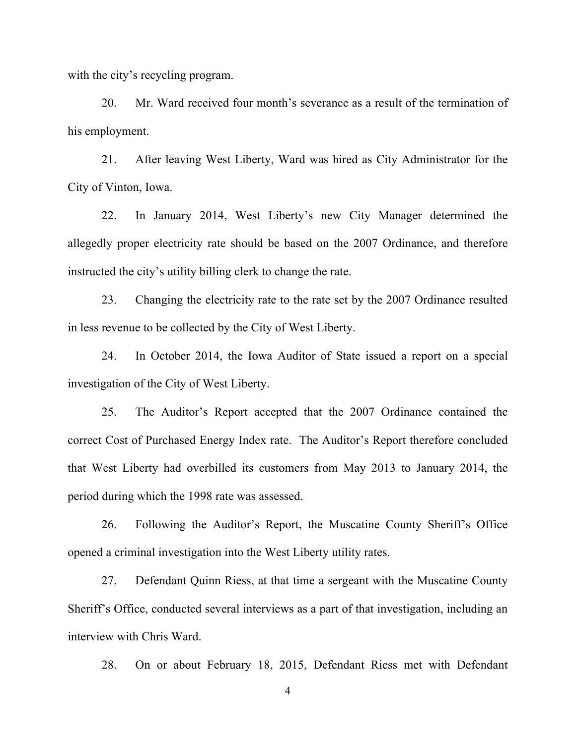with the city's recycling program.

20. Mr. Ward received four month's severance as a result of the termination of his employment.

21. After leaving West Liberty, Ward was hired as City Administrator for the City of Vinton, Iowa.

22. In January 2014, West Liberty's new City Manager determined the allegedly proper electricity rate should be based on the 2007 Ordinance, and therefore instructed the city's utility billing clerk to change the rate.

23. Changing the electricity rate to the rate set by the 2007 Ordinance resulted in less revenue to be collected by the City of West Liberty.

24. In October 2014, the Iowa Auditor of State issued a report on a special investigation of the City of West Liberty.

25. The Auditor's Report accepted that the 2007 Ordinance contained the correct Cost of Purchased Energy Index rate. The Auditor's Report therefore concluded that West Liberty had overbilled its customers from May 2013 to January 2014, the period during which the 1998 rate was assessed.

26. Following the Auditor's Report, the Muscatine County Sheriff's Office opened a criminal investigation into the West Liberty utility rates.

27. Defendant Quinn Riess, at that time a sergeant with the Muscatine County Sheriff's Office, conducted several interviews as a part of that investigation, including an interview with Chris Ward.

28. On or about February 18, 2015, Defendant Riess met with Defendant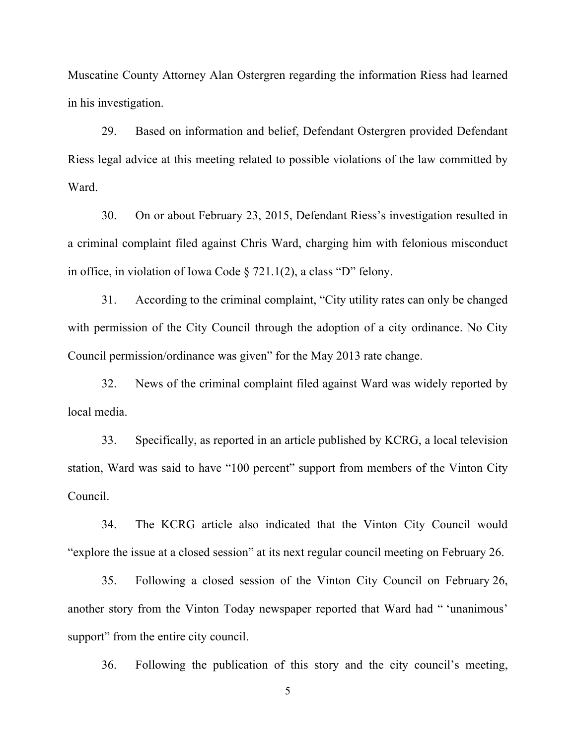Muscatine County Attorney Alan Ostergren regarding the information Riess had learned in his investigation.

29. Based on information and belief, Defendant Ostergren provided Defendant Riess legal advice at this meeting related to possible violations of the law committed by Ward.

30. On or about February 23, 2015, Defendant Riess's investigation resulted in a criminal complaint filed against Chris Ward, charging him with felonious misconduct in office, in violation of Iowa Code § 721.1(2), a class "D" felony.

31. According to the criminal complaint, "City utility rates can only be changed with permission of the City Council through the adoption of a city ordinance. No City Council permission/ordinance was given" for the May 2013 rate change.

32. News of the criminal complaint filed against Ward was widely reported by local media.

33. Specifically, as reported in an article published by KCRG, a local television station, Ward was said to have "100 percent" support from members of the Vinton City Council.

34. The KCRG article also indicated that the Vinton City Council would "explore the issue at a closed session" at its next regular council meeting on February 26.

35. Following a closed session of the Vinton City Council on February 26, another story from the Vinton Today newspaper reported that Ward had " 'unanimous' support" from the entire city council.

36. Following the publication of this story and the city council's meeting,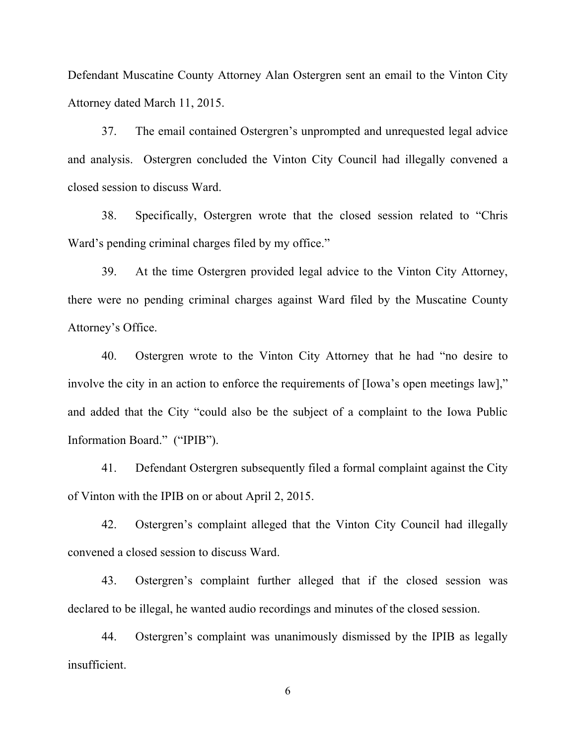Defendant Muscatine County Attorney Alan Ostergren sent an email to the Vinton City Attorney dated March 11, 2015.

37. The email contained Ostergren's unprompted and unrequested legal advice and analysis. Ostergren concluded the Vinton City Council had illegally convened a closed session to discuss Ward.

38. Specifically, Ostergren wrote that the closed session related to "Chris Ward's pending criminal charges filed by my office."

39. At the time Ostergren provided legal advice to the Vinton City Attorney, there were no pending criminal charges against Ward filed by the Muscatine County Attorney's Office.

40. Ostergren wrote to the Vinton City Attorney that he had "no desire to involve the city in an action to enforce the requirements of [Iowa's open meetings law]," and added that the City "could also be the subject of a complaint to the Iowa Public Information Board." ("IPIB").

41. Defendant Ostergren subsequently filed a formal complaint against the City of Vinton with the IPIB on or about April 2, 2015.

42. Ostergren's complaint alleged that the Vinton City Council had illegally convened a closed session to discuss Ward.

43. Ostergren's complaint further alleged that if the closed session was declared to be illegal, he wanted audio recordings and minutes of the closed session.

44. Ostergren's complaint was unanimously dismissed by the IPIB as legally insufficient.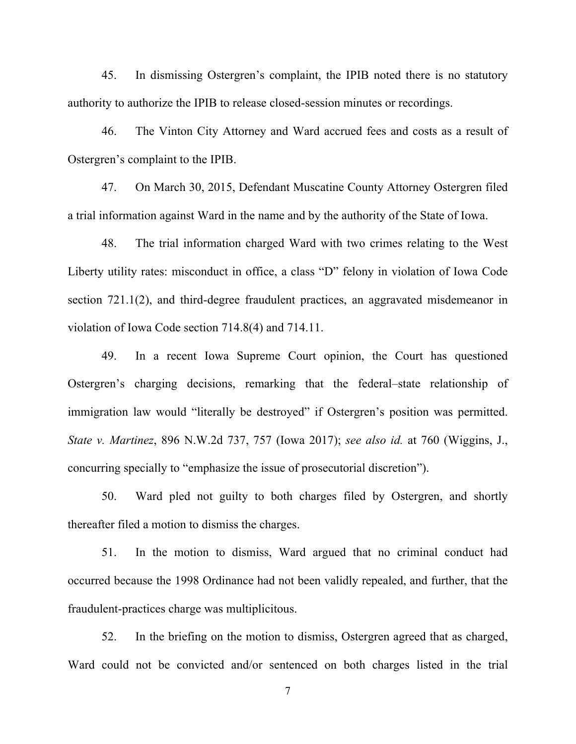45. In dismissing Ostergren's complaint, the IPIB noted there is no statutory authority to authorize the IPIB to release closed-session minutes or recordings.

46. The Vinton City Attorney and Ward accrued fees and costs as a result of Ostergren's complaint to the IPIB.

47. On March 30, 2015, Defendant Muscatine County Attorney Ostergren filed a trial information against Ward in the name and by the authority of the State of Iowa.

48. The trial information charged Ward with two crimes relating to the West Liberty utility rates: misconduct in office, a class "D" felony in violation of Iowa Code section 721.1(2), and third-degree fraudulent practices, an aggravated misdemeanor in violation of Iowa Code section 714.8(4) and 714.11.

49. In a recent Iowa Supreme Court opinion, the Court has questioned Ostergren's charging decisions, remarking that the federal–state relationship of immigration law would "literally be destroyed" if Ostergren's position was permitted. *State v. Martinez*, 896 N.W.2d 737, 757 (Iowa 2017); *see also id.* at 760 (Wiggins, J., concurring specially to "emphasize the issue of prosecutorial discretion").

50. Ward pled not guilty to both charges filed by Ostergren, and shortly thereafter filed a motion to dismiss the charges.

51. In the motion to dismiss, Ward argued that no criminal conduct had occurred because the 1998 Ordinance had not been validly repealed, and further, that the fraudulent-practices charge was multiplicitous.

52. In the briefing on the motion to dismiss, Ostergren agreed that as charged, Ward could not be convicted and/or sentenced on both charges listed in the trial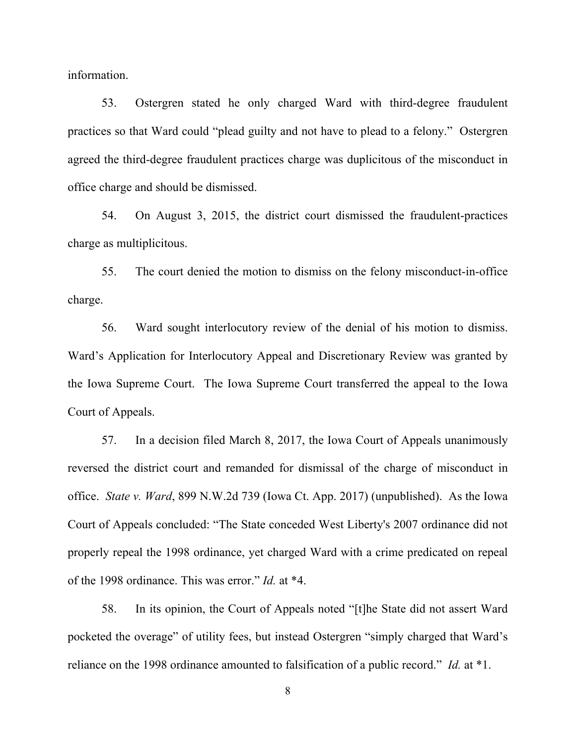information.

53. Ostergren stated he only charged Ward with third-degree fraudulent practices so that Ward could "plead guilty and not have to plead to a felony." Ostergren agreed the third-degree fraudulent practices charge was duplicitous of the misconduct in office charge and should be dismissed.

54. On August 3, 2015, the district court dismissed the fraudulent-practices charge as multiplicitous.

55. The court denied the motion to dismiss on the felony misconduct-in-office charge.

56. Ward sought interlocutory review of the denial of his motion to dismiss. Ward's Application for Interlocutory Appeal and Discretionary Review was granted by the Iowa Supreme Court. The Iowa Supreme Court transferred the appeal to the Iowa Court of Appeals.

57. In a decision filed March 8, 2017, the Iowa Court of Appeals unanimously reversed the district court and remanded for dismissal of the charge of misconduct in office. *State v. Ward*, 899 N.W.2d 739 (Iowa Ct. App. 2017) (unpublished). As the Iowa Court of Appeals concluded: "The State conceded West Liberty's 2007 ordinance did not properly repeal the 1998 ordinance, yet charged Ward with a crime predicated on repeal of the 1998 ordinance. This was error." *Id.* at \*4.

58. In its opinion, the Court of Appeals noted "[t]he State did not assert Ward pocketed the overage" of utility fees, but instead Ostergren "simply charged that Ward's reliance on the 1998 ordinance amounted to falsification of a public record." *Id.* at \*1.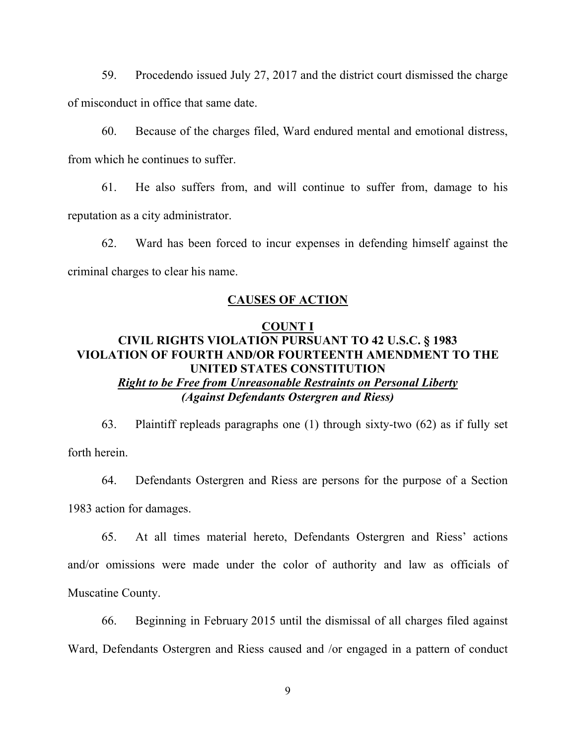59. Procedendo issued July 27, 2017 and the district court dismissed the charge of misconduct in office that same date.

60. Because of the charges filed, Ward endured mental and emotional distress, from which he continues to suffer.

61. He also suffers from, and will continue to suffer from, damage to his reputation as a city administrator.

62. Ward has been forced to incur expenses in defending himself against the criminal charges to clear his name.

#### **CAUSES OF ACTION**

### **COUNT I CIVIL RIGHTS VIOLATION PURSUANT TO 42 U.S.C. § 1983 VIOLATION OF FOURTH AND/OR FOURTEENTH AMENDMENT TO THE UNITED STATES CONSTITUTION** *Right to be Free from Unreasonable Restraints on Personal Liberty (Against Defendants Ostergren and Riess)*

63. Plaintiff repleads paragraphs one (1) through sixty-two (62) as if fully set forth herein.

64. Defendants Ostergren and Riess are persons for the purpose of a Section 1983 action for damages.

65. At all times material hereto, Defendants Ostergren and Riess' actions and/or omissions were made under the color of authority and law as officials of Muscatine County.

66. Beginning in February 2015 until the dismissal of all charges filed against Ward, Defendants Ostergren and Riess caused and /or engaged in a pattern of conduct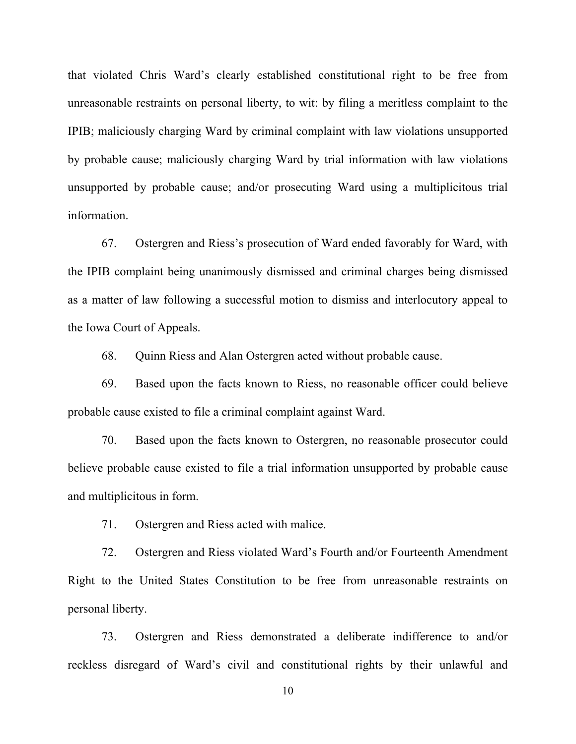that violated Chris Ward's clearly established constitutional right to be free from unreasonable restraints on personal liberty, to wit: by filing a meritless complaint to the IPIB; maliciously charging Ward by criminal complaint with law violations unsupported by probable cause; maliciously charging Ward by trial information with law violations unsupported by probable cause; and/or prosecuting Ward using a multiplicitous trial information.

67. Ostergren and Riess's prosecution of Ward ended favorably for Ward, with the IPIB complaint being unanimously dismissed and criminal charges being dismissed as a matter of law following a successful motion to dismiss and interlocutory appeal to the Iowa Court of Appeals.

68. Quinn Riess and Alan Ostergren acted without probable cause.

69. Based upon the facts known to Riess, no reasonable officer could believe probable cause existed to file a criminal complaint against Ward.

70. Based upon the facts known to Ostergren, no reasonable prosecutor could believe probable cause existed to file a trial information unsupported by probable cause and multiplicitous in form.

71. Ostergren and Riess acted with malice.

72. Ostergren and Riess violated Ward's Fourth and/or Fourteenth Amendment Right to the United States Constitution to be free from unreasonable restraints on personal liberty.

73. Ostergren and Riess demonstrated a deliberate indifference to and/or reckless disregard of Ward's civil and constitutional rights by their unlawful and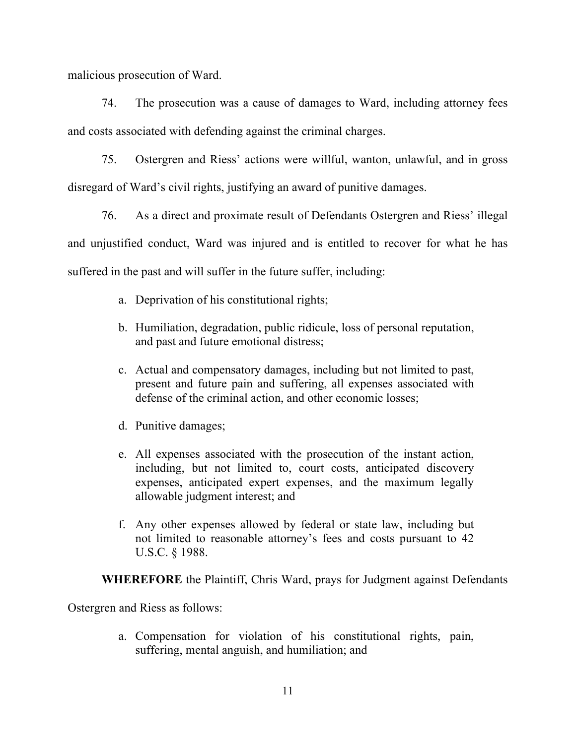malicious prosecution of Ward.

74. The prosecution was a cause of damages to Ward, including attorney fees and costs associated with defending against the criminal charges.

75. Ostergren and Riess' actions were willful, wanton, unlawful, and in gross disregard of Ward's civil rights, justifying an award of punitive damages.

76. As a direct and proximate result of Defendants Ostergren and Riess' illegal and unjustified conduct, Ward was injured and is entitled to recover for what he has suffered in the past and will suffer in the future suffer, including:

- a. Deprivation of his constitutional rights;
- b. Humiliation, degradation, public ridicule, loss of personal reputation, and past and future emotional distress;
- c. Actual and compensatory damages, including but not limited to past, present and future pain and suffering, all expenses associated with defense of the criminal action, and other economic losses;
- d. Punitive damages;
- e. All expenses associated with the prosecution of the instant action, including, but not limited to, court costs, anticipated discovery expenses, anticipated expert expenses, and the maximum legally allowable judgment interest; and
- f. Any other expenses allowed by federal or state law, including but not limited to reasonable attorney's fees and costs pursuant to 42 U.S.C. § 1988.

**WHEREFORE** the Plaintiff, Chris Ward, prays for Judgment against Defendants

Ostergren and Riess as follows:

a. Compensation for violation of his constitutional rights, pain, suffering, mental anguish, and humiliation; and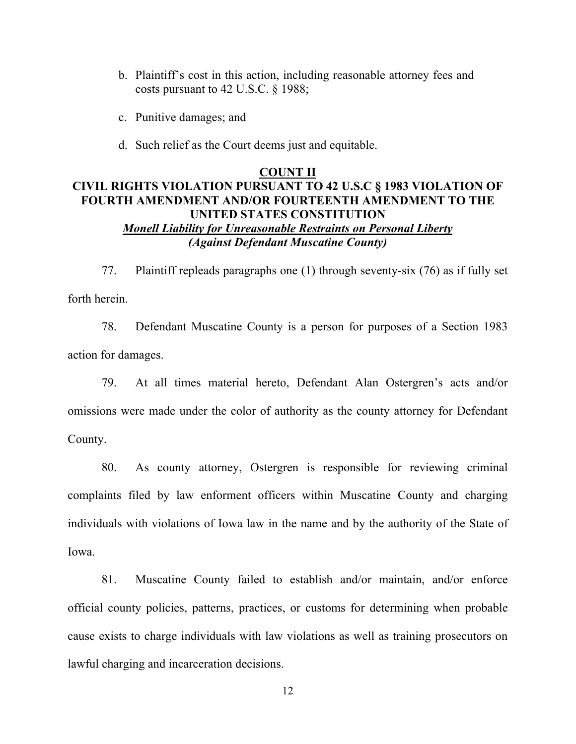- b. Plaintiff's cost in this action, including reasonable attorney fees and costs pursuant to 42 U.S.C. § 1988;
- c. Punitive damages; and
- d. Such relief as the Court deems just and equitable.

### **COUNT II CIVIL RIGHTS VIOLATION PURSUANT TO 42 U.S.C § 1983 VIOLATION OF FOURTH AMENDMENT AND/OR FOURTEENTH AMENDMENT TO THE UNITED STATES CONSTITUTION** *Monell Liability for Unreasonable Restraints on Personal Liberty (Against Defendant Muscatine County)*

77. Plaintiff repleads paragraphs one (1) through seventy-six (76) as if fully set forth herein.

78. Defendant Muscatine County is a person for purposes of a Section 1983 action for damages.

79. At all times material hereto, Defendant Alan Ostergren's acts and/or omissions were made under the color of authority as the county attorney for Defendant County.

80. As county attorney, Ostergren is responsible for reviewing criminal complaints filed by law enforment officers within Muscatine County and charging individuals with violations of Iowa law in the name and by the authority of the State of Iowa.

81. Muscatine County failed to establish and/or maintain, and/or enforce official county policies, patterns, practices, or customs for determining when probable cause exists to charge individuals with law violations as well as training prosecutors on lawful charging and incarceration decisions.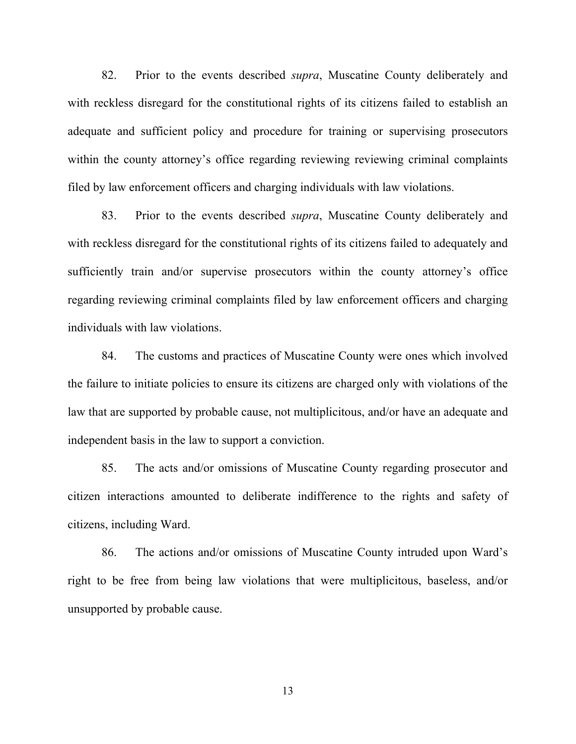82. Prior to the events described *supra*, Muscatine County deliberately and with reckless disregard for the constitutional rights of its citizens failed to establish an adequate and sufficient policy and procedure for training or supervising prosecutors within the county attorney's office regarding reviewing reviewing criminal complaints filed by law enforcement officers and charging individuals with law violations.

83. Prior to the events described *supra*, Muscatine County deliberately and with reckless disregard for the constitutional rights of its citizens failed to adequately and sufficiently train and/or supervise prosecutors within the county attorney's office regarding reviewing criminal complaints filed by law enforcement officers and charging individuals with law violations.

84. The customs and practices of Muscatine County were ones which involved the failure to initiate policies to ensure its citizens are charged only with violations of the law that are supported by probable cause, not multiplicitous, and/or have an adequate and independent basis in the law to support a conviction.

85. The acts and/or omissions of Muscatine County regarding prosecutor and citizen interactions amounted to deliberate indifference to the rights and safety of citizens, including Ward.

86. The actions and/or omissions of Muscatine County intruded upon Ward's right to be free from being law violations that were multiplicitous, baseless, and/or unsupported by probable cause.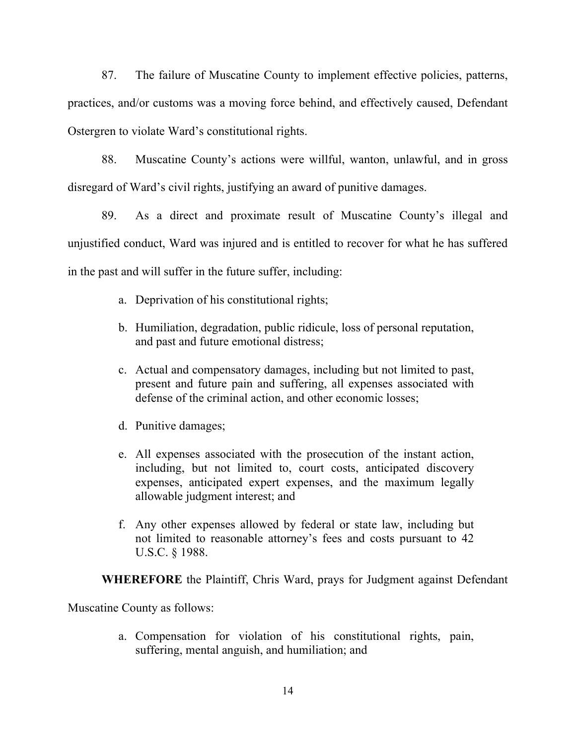87. The failure of Muscatine County to implement effective policies, patterns, practices, and/or customs was a moving force behind, and effectively caused, Defendant Ostergren to violate Ward's constitutional rights.

88. Muscatine County's actions were willful, wanton, unlawful, and in gross disregard of Ward's civil rights, justifying an award of punitive damages.

89. As a direct and proximate result of Muscatine County's illegal and unjustified conduct, Ward was injured and is entitled to recover for what he has suffered in the past and will suffer in the future suffer, including:

- a. Deprivation of his constitutional rights;
- b. Humiliation, degradation, public ridicule, loss of personal reputation, and past and future emotional distress;
- c. Actual and compensatory damages, including but not limited to past, present and future pain and suffering, all expenses associated with defense of the criminal action, and other economic losses;
- d. Punitive damages;
- e. All expenses associated with the prosecution of the instant action, including, but not limited to, court costs, anticipated discovery expenses, anticipated expert expenses, and the maximum legally allowable judgment interest; and
- f. Any other expenses allowed by federal or state law, including but not limited to reasonable attorney's fees and costs pursuant to 42 U.S.C. § 1988.

**WHEREFORE** the Plaintiff, Chris Ward, prays for Judgment against Defendant

Muscatine County as follows:

a. Compensation for violation of his constitutional rights, pain, suffering, mental anguish, and humiliation; and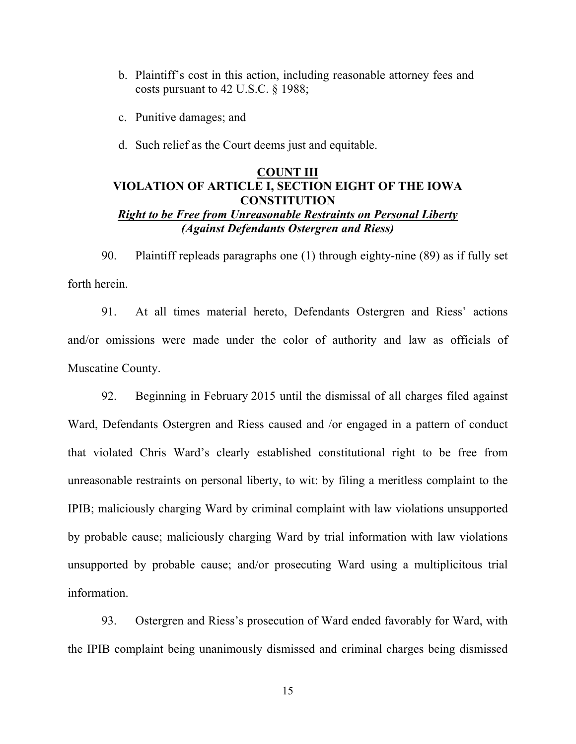- b. Plaintiff's cost in this action, including reasonable attorney fees and costs pursuant to 42 U.S.C. § 1988;
- c. Punitive damages; and
- d. Such relief as the Court deems just and equitable.

### **COUNT III VIOLATION OF ARTICLE I, SECTION EIGHT OF THE IOWA CONSTITUTION** *Right to be Free from Unreasonable Restraints on Personal Liberty (Against Defendants Ostergren and Riess)*

90. Plaintiff repleads paragraphs one (1) through eighty-nine (89) as if fully set forth herein.

91. At all times material hereto, Defendants Ostergren and Riess' actions and/or omissions were made under the color of authority and law as officials of Muscatine County.

92. Beginning in February 2015 until the dismissal of all charges filed against Ward, Defendants Ostergren and Riess caused and /or engaged in a pattern of conduct that violated Chris Ward's clearly established constitutional right to be free from unreasonable restraints on personal liberty, to wit: by filing a meritless complaint to the IPIB; maliciously charging Ward by criminal complaint with law violations unsupported by probable cause; maliciously charging Ward by trial information with law violations unsupported by probable cause; and/or prosecuting Ward using a multiplicitous trial information.

93. Ostergren and Riess's prosecution of Ward ended favorably for Ward, with the IPIB complaint being unanimously dismissed and criminal charges being dismissed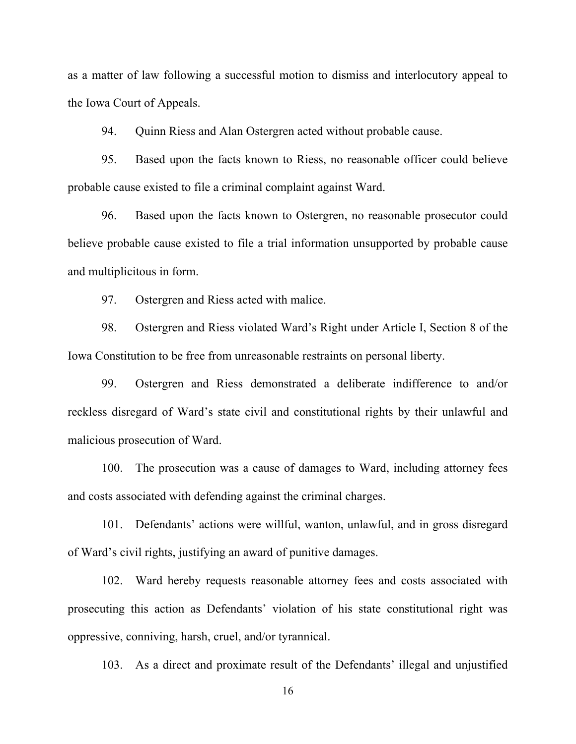as a matter of law following a successful motion to dismiss and interlocutory appeal to the Iowa Court of Appeals.

94. Quinn Riess and Alan Ostergren acted without probable cause.

95. Based upon the facts known to Riess, no reasonable officer could believe probable cause existed to file a criminal complaint against Ward.

96. Based upon the facts known to Ostergren, no reasonable prosecutor could believe probable cause existed to file a trial information unsupported by probable cause and multiplicitous in form.

97. Ostergren and Riess acted with malice.

98. Ostergren and Riess violated Ward's Right under Article I, Section 8 of the Iowa Constitution to be free from unreasonable restraints on personal liberty.

99. Ostergren and Riess demonstrated a deliberate indifference to and/or reckless disregard of Ward's state civil and constitutional rights by their unlawful and malicious prosecution of Ward.

100. The prosecution was a cause of damages to Ward, including attorney fees and costs associated with defending against the criminal charges.

101. Defendants' actions were willful, wanton, unlawful, and in gross disregard of Ward's civil rights, justifying an award of punitive damages.

102. Ward hereby requests reasonable attorney fees and costs associated with prosecuting this action as Defendants' violation of his state constitutional right was oppressive, conniving, harsh, cruel, and/or tyrannical.

103. As a direct and proximate result of the Defendants' illegal and unjustified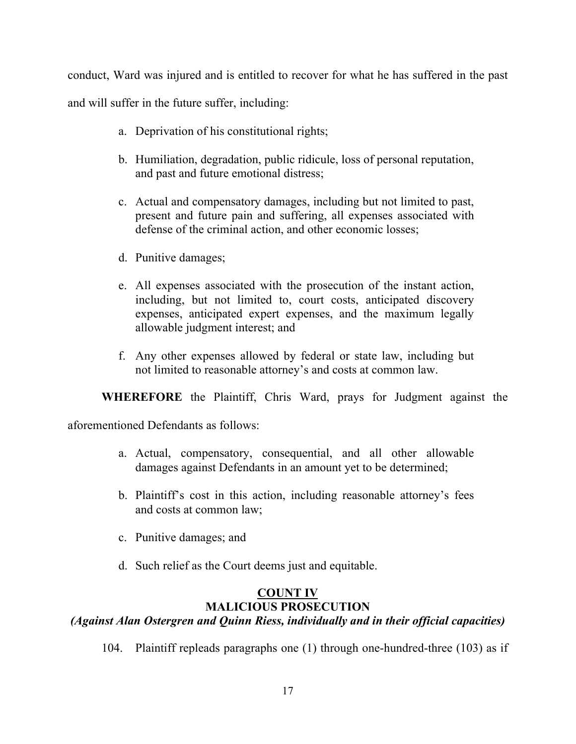conduct, Ward was injured and is entitled to recover for what he has suffered in the past

and will suffer in the future suffer, including:

- a. Deprivation of his constitutional rights;
- b. Humiliation, degradation, public ridicule, loss of personal reputation, and past and future emotional distress;
- c. Actual and compensatory damages, including but not limited to past, present and future pain and suffering, all expenses associated with defense of the criminal action, and other economic losses;
- d. Punitive damages;
- e. All expenses associated with the prosecution of the instant action, including, but not limited to, court costs, anticipated discovery expenses, anticipated expert expenses, and the maximum legally allowable judgment interest; and
- f. Any other expenses allowed by federal or state law, including but not limited to reasonable attorney's and costs at common law.

**WHEREFORE** the Plaintiff, Chris Ward, prays for Judgment against the

aforementioned Defendants as follows:

- a. Actual, compensatory, consequential, and all other allowable damages against Defendants in an amount yet to be determined;
- b. Plaintiff's cost in this action, including reasonable attorney's fees and costs at common law;
- c. Punitive damages; and
- d. Such relief as the Court deems just and equitable.

#### **COUNT IV MALICIOUS PROSECUTION**

## *(Against Alan Ostergren and Quinn Riess, individually and in their official capacities)*

104. Plaintiff repleads paragraphs one (1) through one-hundred-three (103) as if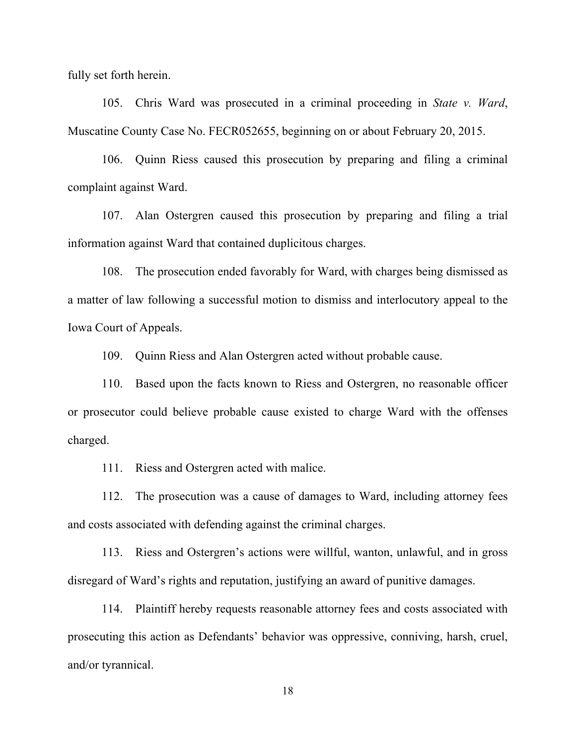fully set forth herein.

105. Chris Ward was prosecuted in a criminal proceeding in *State v. Ward*, Muscatine County Case No. FECR052655, beginning on or about February 20, 2015.

106. Quinn Riess caused this prosecution by preparing and filing a criminal complaint against Ward.

107. Alan Ostergren caused this prosecution by preparing and filing a trial information against Ward that contained duplicitous charges.

108. The prosecution ended favorably for Ward, with charges being dismissed as a matter of law following a successful motion to dismiss and interlocutory appeal to the Iowa Court of Appeals.

109. Quinn Riess and Alan Ostergren acted without probable cause.

110. Based upon the facts known to Riess and Ostergren, no reasonable officer or prosecutor could believe probable cause existed to charge Ward with the offenses charged.

111. Riess and Ostergren acted with malice.

112. The prosecution was a cause of damages to Ward, including attorney fees and costs associated with defending against the criminal charges.

113. Riess and Ostergren's actions were willful, wanton, unlawful, and in gross disregard of Ward's rights and reputation, justifying an award of punitive damages.

114. Plaintiff hereby requests reasonable attorney fees and costs associated with prosecuting this action as Defendants' behavior was oppressive, conniving, harsh, cruel, and/or tyrannical.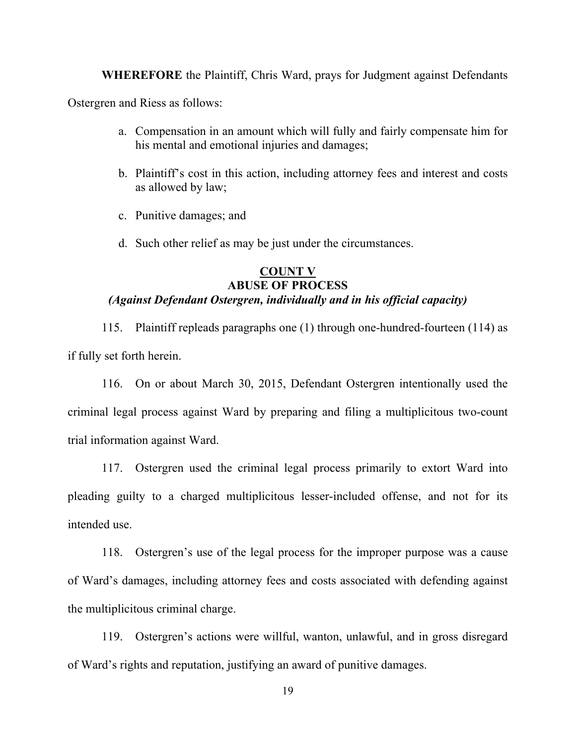**WHEREFORE** the Plaintiff, Chris Ward, prays for Judgment against Defendants

Ostergren and Riess as follows:

- a. Compensation in an amount which will fully and fairly compensate him for his mental and emotional injuries and damages;
- b. Plaintiff's cost in this action, including attorney fees and interest and costs as allowed by law;
- c. Punitive damages; and
- d. Such other relief as may be just under the circumstances.

### **COUNT V ABUSE OF PROCESS** *(Against Defendant Ostergren, individually and in his official capacity)*

115. Plaintiff repleads paragraphs one (1) through one-hundred-fourteen (114) as if fully set forth herein.

116. On or about March 30, 2015, Defendant Ostergren intentionally used the criminal legal process against Ward by preparing and filing a multiplicitous two-count trial information against Ward.

117. Ostergren used the criminal legal process primarily to extort Ward into pleading guilty to a charged multiplicitous lesser-included offense, and not for its intended use.

118. Ostergren's use of the legal process for the improper purpose was a cause of Ward's damages, including attorney fees and costs associated with defending against the multiplicitous criminal charge.

119. Ostergren's actions were willful, wanton, unlawful, and in gross disregard of Ward's rights and reputation, justifying an award of punitive damages.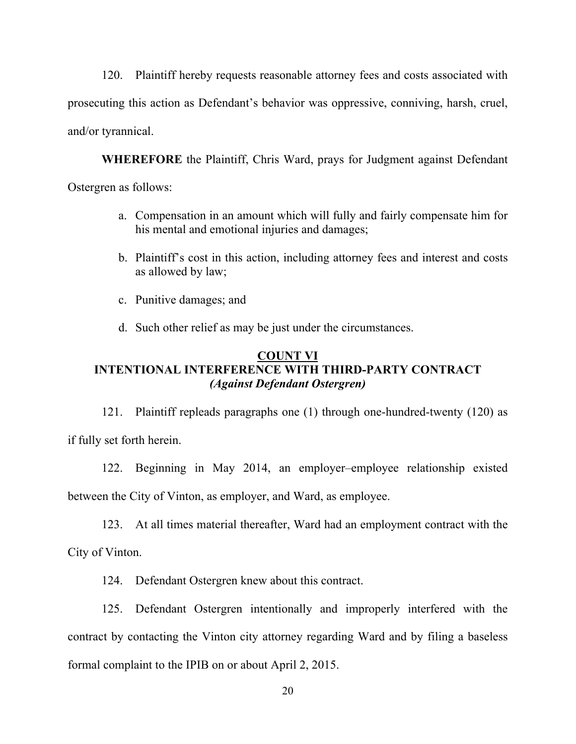120. Plaintiff hereby requests reasonable attorney fees and costs associated with prosecuting this action as Defendant's behavior was oppressive, conniving, harsh, cruel, and/or tyrannical.

**WHEREFORE** the Plaintiff, Chris Ward, prays for Judgment against Defendant Ostergren as follows:

- a. Compensation in an amount which will fully and fairly compensate him for his mental and emotional injuries and damages;
- b. Plaintiff's cost in this action, including attorney fees and interest and costs as allowed by law;
- c. Punitive damages; and
- d. Such other relief as may be just under the circumstances.

### **COUNT VI INTENTIONAL INTERFERENCE WITH THIRD-PARTY CONTRACT** *(Against Defendant Ostergren)*

121. Plaintiff repleads paragraphs one (1) through one-hundred-twenty (120) as if fully set forth herein.

122. Beginning in May 2014, an employer–employee relationship existed between the City of Vinton, as employer, and Ward, as employee.

123. At all times material thereafter, Ward had an employment contract with the City of Vinton.

124. Defendant Ostergren knew about this contract.

125. Defendant Ostergren intentionally and improperly interfered with the contract by contacting the Vinton city attorney regarding Ward and by filing a baseless formal complaint to the IPIB on or about April 2, 2015.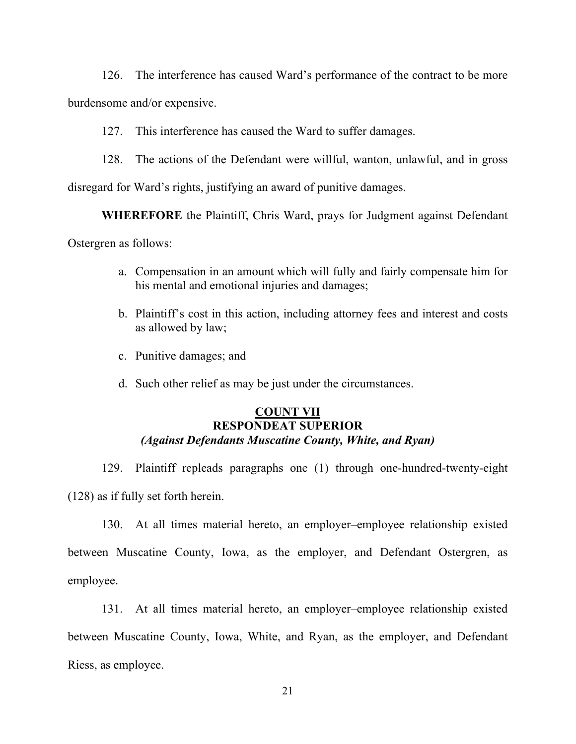126. The interference has caused Ward's performance of the contract to be more

burdensome and/or expensive.

127. This interference has caused the Ward to suffer damages.

128. The actions of the Defendant were willful, wanton, unlawful, and in gross

disregard for Ward's rights, justifying an award of punitive damages.

**WHEREFORE** the Plaintiff, Chris Ward, prays for Judgment against Defendant

Ostergren as follows:

- a. Compensation in an amount which will fully and fairly compensate him for his mental and emotional injuries and damages;
- b. Plaintiff's cost in this action, including attorney fees and interest and costs as allowed by law;
- c. Punitive damages; and
- d. Such other relief as may be just under the circumstances.

#### **COUNT VII RESPONDEAT SUPERIOR** *(Against Defendants Muscatine County, White, and Ryan)*

129. Plaintiff repleads paragraphs one (1) through one-hundred-twenty-eight (128) as if fully set forth herein.

130. At all times material hereto, an employer–employee relationship existed between Muscatine County, Iowa, as the employer, and Defendant Ostergren, as employee.

131. At all times material hereto, an employer–employee relationship existed between Muscatine County, Iowa, White, and Ryan, as the employer, and Defendant Riess, as employee.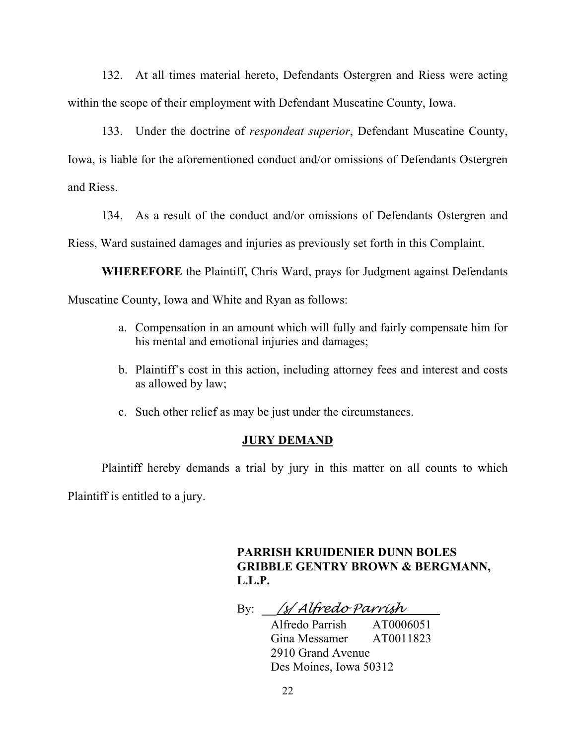132. At all times material hereto, Defendants Ostergren and Riess were acting within the scope of their employment with Defendant Muscatine County, Iowa.

133. Under the doctrine of *respondeat superior*, Defendant Muscatine County, Iowa, is liable for the aforementioned conduct and/or omissions of Defendants Ostergren and Riess.

134. As a result of the conduct and/or omissions of Defendants Ostergren and

Riess, Ward sustained damages and injuries as previously set forth in this Complaint.

**WHEREFORE** the Plaintiff, Chris Ward, prays for Judgment against Defendants Muscatine County, Iowa and White and Ryan as follows:

- a. Compensation in an amount which will fully and fairly compensate him for his mental and emotional injuries and damages;
- b. Plaintiff's cost in this action, including attorney fees and interest and costs as allowed by law;
- c. Such other relief as may be just under the circumstances.

#### **JURY DEMAND**

Plaintiff hereby demands a trial by jury in this matter on all counts to which Plaintiff is entitled to a jury.

> **PARRISH KRUIDENIER DUNN BOLES GRIBBLE GENTRY BROWN & BERGMANN, L.L.P.**

By: \_\_*/s/ Alfredo Parrish*

Alfredo Parrish AT0006051 Gina Messamer AT0011823 2910 Grand Avenue Des Moines, Iowa 50312